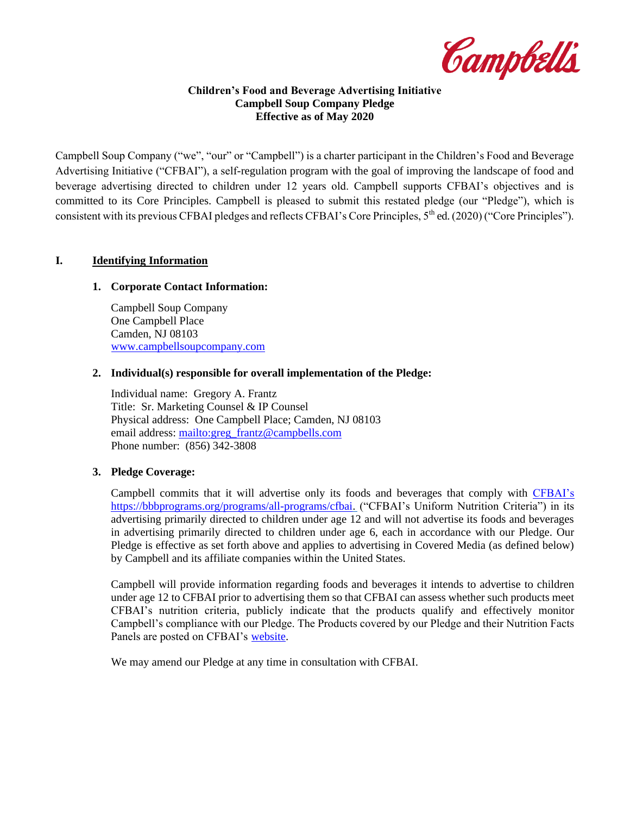Campbell's

#### **Children's Food and Beverage Advertising Initiative Campbell Soup Company Pledge Effective as of May 2020**

Campbell Soup Company ("we", "our" or "Campbell") is a charter participant in the Children's Food and Beverage Advertising Initiative ("CFBAI"), a self-regulation program with the goal of improving the landscape of food and beverage advertising directed to children under 12 years old. Campbell supports CFBAI's objectives and is committed to its Core Principles. Campbell is pleased to submit this restated pledge (our "Pledge"), which is consistent with its previous CFBAI pledges and reflects CFBAI's Core Principles, 5<sup>th</sup> ed. (2020) ("Core Principles").

## **I. Identifying Information**

#### **1. Corporate Contact Information:**

Campbell Soup Company One Campbell Place Camden, NJ 08103 [www.campbellsoupcompany.com](https://www.campbellsoupcompany.com/)

#### **2. Individual(s) responsible for overall implementation of the Pledge:**

Individual name: Gregory A. Frantz Title: Sr. Marketing Counsel & IP Counsel Physical address: One Campbell Place; Camden, NJ 08103 email address: [mailto:greg\\_frantz@campbells.com](mailto:greg_frantz@campbells.com) Phone number: (856) 342-3808

#### **3. Pledge Coverage:**

Campbell commits that it will advertise only its foods and beverages that comply with CFBAI's [https://bbbprograms.org/programs/all-programs/cfbai.](https://bbbnp-bbbp-stf-use1-01.s3.amazonaws.com/docs/default-source/cfbai/cfbai-revised_criteria_chart_1-28-2019.pdf?sfvrsn=c31ce512_2) ("CFBAI's Uniform Nutrition Criteria") in its advertising primarily directed to children under age 12 and will not advertise its foods and beverages in advertising primarily directed to children under age 6, each in accordance with our Pledge. Our Pledge is effective as set forth above and applies to advertising in Covered Media (as defined below) by Campbell and its affiliate companies within the United States.

Campbell will provide information regarding foods and beverages it intends to advertise to children under age 12 to CFBAI prior to advertising them so that CFBAI can assess whether such products meet CFBAI's nutrition criteria, publicly indicate that the products qualify and effectively monitor Campbell's compliance with our Pledge. The Products covered by our Pledge and their Nutrition Facts Panels are posted on CFBAI's [website.](https://bbbprograms.org/programs/all-programs/cfbai)

We may amend our Pledge at any time in consultation with CFBAI.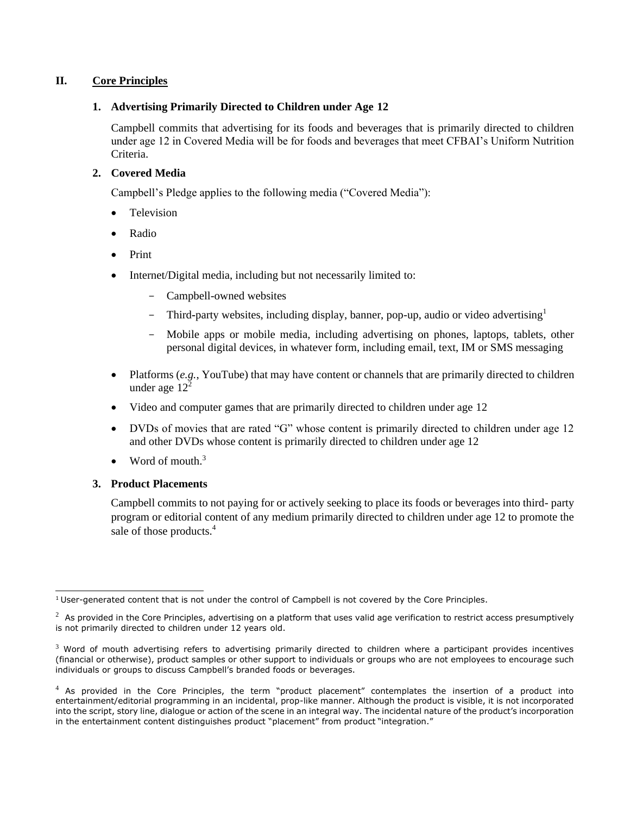## **II. Core Principles**

### **1. Advertising Primarily Directed to Children under Age 12**

Campbell commits that advertising for its foods and beverages that is primarily directed to children under age 12 in Covered Media will be for foods and beverages that meet CFBAI's Uniform Nutrition Criteria.

# **2. Covered Media**

Campbell's Pledge applies to the following media ("Covered Media"):

- Television
- Radio
- Print
- Internet/Digital media, including but not necessarily limited to:
	- Campbell-owned websites
	- Third**-**party websites, including display, banner, pop-up, audio or video advertising[1](#page-1-0)
	- Mobile apps or mobile media, including advertising on phones, laptops, tablets, other personal digital devices, in whatever form, including email, text, IM or SMS messaging
- Platforms (*e.g.*, YouTube) that may have content or channels that are primarily directed to children under age  $12<sup>2</sup>$  $12<sup>2</sup>$  $12<sup>2</sup>$
- Video and computer games that are primarily directed to children under age 12
- DVDs of movies that are rated "G" whose content is primarily directed to children under age 12 and other DVDs whose content is primarily directed to children under age 12
- Word of mouth[.](#page-1-2) $3$

#### **3. Product Placements**

Campbell commits to not paying for or actively seeking to place its foods or beverages into third- party program or editorial content of any medium primarily directed to children under age 12 to promote the sale of those products[.](#page-1-3)<sup>4</sup>

<span id="page-1-0"></span> $1$ User-generated content that is not under the control of Campbell is not covered by the Core Principles.

<span id="page-1-1"></span> $2\,$  As provided in the Core Principles, advertising on a platform that uses valid age verification to restrict access presumptively is not primarily directed to children under 12 years old.

<span id="page-1-2"></span> $3$  Word of mouth advertising refers to advertising primarily directed to children where a participant provides incentives (financial or otherwise), product samples or other support to individuals or groups who are not employees to encourage such individuals or groups to discuss Campbell's branded foods or beverages.

<span id="page-1-3"></span> $4$  As provided in the Core Principles, the term "product placement" contemplates the insertion of a product into entertainment/editorial programming in an incidental, prop-like manner. Although the product is visible, it is not incorporated into the script, story line, dialogue or action of the scene in an integral way. The incidental nature of the product's incorporation in the entertainment content distinguishes product "placement" from product "integration."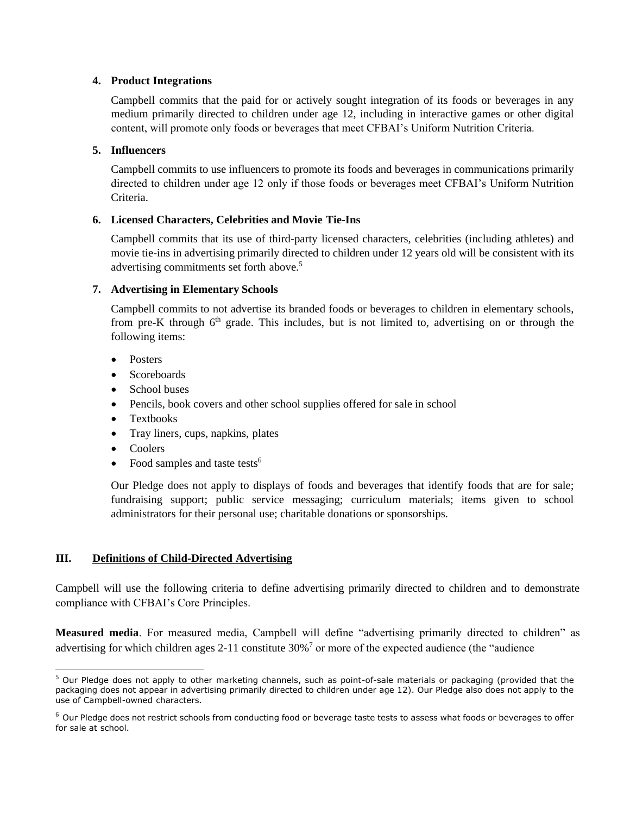### **4. Product Integrations**

Campbell commits that the paid for or actively sought integration of its foods or beverages in any medium primarily directed to children under age 12, including in interactive games or other digital content, will promote only foods or beverages that meet CFBAI's Uniform Nutrition Criteria.

## **5. Influencers**

Campbell commits to use influencers to promote its foods and beverages in communications primarily directed to children under age 12 only if those foods or beverages meet CFBAI's Uniform Nutrition Criteria.

## **6. Licensed Characters, Celebrities and Movie Tie-Ins**

Campbell commits that its use of third-party licensed characters, celebrities (including athletes) and movie tie-ins in advertising primarily directed to children under 12 years old will be consistent with its advertising commitments set forth above[.](#page-2-0)<sup>5</sup>

## **7. Advertising in Elementary Schools**

Campbell commits to not advertise its branded foods or beverages to children in elementary schools, from pre-K through  $6<sup>th</sup>$  grade. This includes, but is not limited to, advertising on or through the following items:

- Posters
- Scoreboards
- School buses
- Pencils, book covers and other school supplies offered for sale in school
- Textbooks
- Tray liners, cups, napkins, plates
- Coolers
- Food samples and taste tests<sup>[6](#page-2-1)</sup>

Our Pledge does not apply to displays of foods and beverages that identify foods that are for sale; fundraising support; public service messaging; curriculum materials; items given to school administrators for their personal use; charitable donations or sponsorships.

# **III. Definitions of Child-Directed Advertising**

Campbell will use the following criteria to define advertising primarily directed to children and to demonstrate compliance with CFBAI's Core Principles.

**Measured media**. For measured media, Campbell will define "advertising primarily directed to children" as advertising for which children ages 2-11 constitute  $30\%$  $30\%$ <sup>7</sup> or more of the expected audience (the "audience

<span id="page-2-0"></span><sup>&</sup>lt;sup>5</sup> Our Pledge does not apply to other marketing channels, such as point-of-sale materials or packaging (provided that the packaging does not appear in advertising primarily directed to children under age 12). Our Pledge also does not apply to the use of Campbell-owned characters.

<span id="page-2-1"></span> $6$  Our Pledge does not restrict schools from conducting food or beverage taste tests to assess what foods or beverages to offer for sale at school.